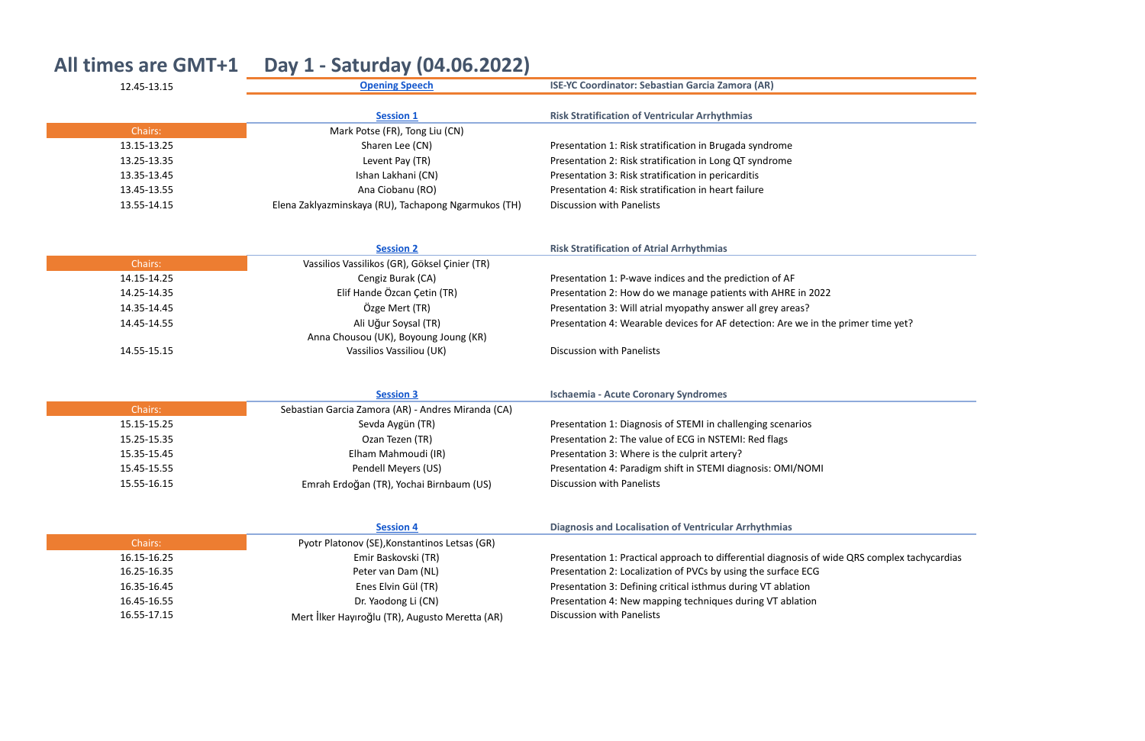| <b>All times are GMT+1</b> | Day 1 - Saturday (04.06.2022)                        |                                                                                     |
|----------------------------|------------------------------------------------------|-------------------------------------------------------------------------------------|
| 12.45-13.15                | <b>Opening Speech</b>                                | <b>ISE-YC Coordinator: Sebastian Garcia Zamora (AR)</b>                             |
|                            | <b>Session 1</b>                                     | <b>Risk Stratification of Ventricular Arrhythmias</b>                               |
| Chairs:                    | Mark Potse (FR), Tong Liu (CN)                       |                                                                                     |
| 13.15-13.25                | Sharen Lee (CN)                                      | Presentation 1: Risk stratification in Brugada syndrome                             |
| 13.25-13.35                | Levent Pay (TR)                                      | Presentation 2: Risk stratification in Long QT syndrome                             |
| 13.35-13.45                | Ishan Lakhani (CN)                                   | Presentation 3: Risk stratification in pericarditis                                 |
| 13.45-13.55                | Ana Ciobanu (RO)                                     | Presentation 4: Risk stratification in heart failure                                |
| 13.55-14.15                | Elena Zaklyazminskaya (RU), Tachapong Ngarmukos (TH) | <b>Discussion with Panelists</b>                                                    |
|                            | <b>Session 2</b>                                     | <b>Risk Stratification of Atrial Arrhythmias</b>                                    |
| Chairs:                    | Vassilios Vassilikos (GR), Göksel Çinier (TR)        |                                                                                     |
| 14.15-14.25                | Cengiz Burak (CA)                                    | Presentation 1: P-wave indices and the prediction of AF                             |
| 14.25-14.35                | Elif Hande Özcan Çetin (TR)                          | Presentation 2: How do we manage patients with AHRE in 2022                         |
| 14.35-14.45                | Özge Mert (TR)                                       | Presentation 3: Will atrial myopathy answer all grey areas?                         |
| 14.45-14.55                | Ali Uğur Soysal (TR)                                 | Presentation 4: Wearable devices for AF detection: Are we in the primer time yet?   |
|                            | Anna Chousou (UK), Boyoung Joung (KR)                |                                                                                     |
| 14.55-15.15                | Vassilios Vassiliou (UK)                             | <b>Discussion with Panelists</b>                                                    |
|                            | <b>Session 3</b>                                     | <b>Ischaemia - Acute Coronary Syndromes</b>                                         |
| Chairs:                    | Sebastian Garcia Zamora (AR) - Andres Miranda (CA)   |                                                                                     |
| 15.15-15.25                | Sevda Aygün (TR)                                     | Presentation 1: Diagnosis of STEMI in challenging scenarios                         |
| 15.25-15.35                | Ozan Tezen (TR)                                      | Presentation 2: The value of ECG in NSTEMI: Red flags                               |
| 15.35-15.45                | Elham Mahmoudi (IR)                                  | Presentation 3: Where is the culprit artery?                                        |
| 15.45-15.55                | Pendell Meyers (US)                                  | Presentation 4: Paradigm shift in STEMI diagnosis: OMI/NOMI                         |
| 15.55-16.15                | Emrah Erdoğan (TR), Yochai Birnbaum (US)             | <b>Discussion with Panelists</b>                                                    |
|                            | <b>Session 4</b>                                     | <b>Diagnosis and Localisation of Ventricular Arrhythmias</b>                        |
| Chairs:                    | Pyotr Platonov (SE), Konstantinos Letsas (GR)        |                                                                                     |
| 16.15-16.25                | Emir Baskovski (TR)                                  | Presentation 1: Practical approach to differential diagnosis of wide QRS complex ta |
| 16.25-16.35                | Peter van Dam (NL)                                   | Presentation 2: Localization of PVCs by using the surface ECG                       |
| 16.35-16.45                | Enes Elvin Gül (TR)                                  | Presentation 3: Defining critical isthmus during VT ablation                        |
| 16.45-16.55                | Dr. Yaodong Li (CN)                                  | Presentation 4: New mapping techniques during VT ablation                           |
| 16.55-17.15                | Mert İlker Hayıroğlu (TR), Augusto Meretta (AR)      | Discussion with Panelists                                                           |

<u> 1989 - Johann Stein, mars an de France</u>

e QRS complex tachycardias